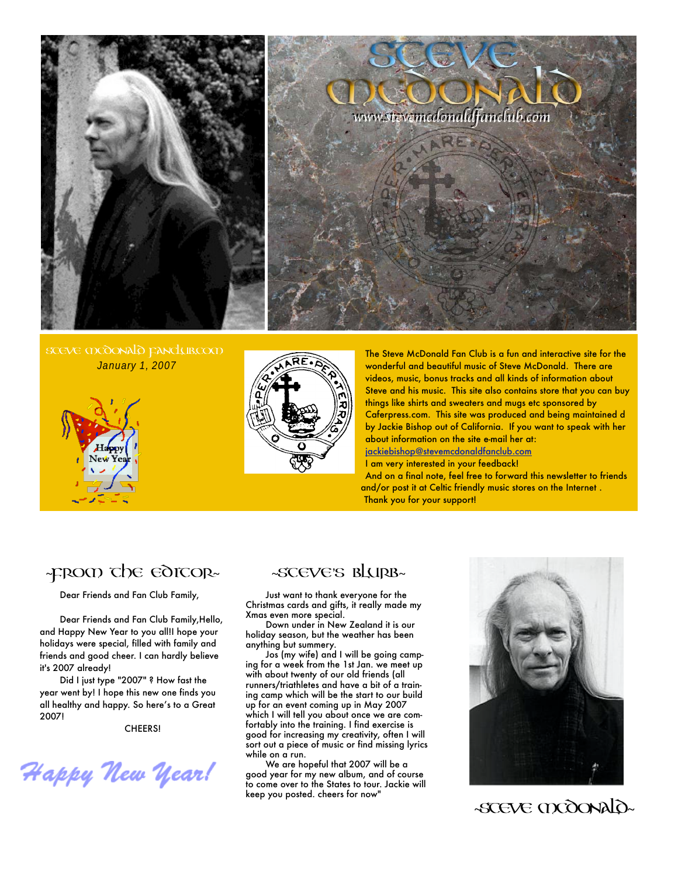

January 1, 2007





The Steve McDonald Fan Club is a fun and interactive site for the wonderful and beautiful music of Steve McDonald. There are videos, music, bonus tracks and all kinds of information about Steve and his music. This site also contains store that you can buy things like shirts and sweaters and mugs etc sponsored by Caferpress.com. This site was produced and being maintained d by Jackie Bishop out of California. If you want to speak with her about information on the site e-mail her at: [jackiebishop@stevemcdonaldfanclub.com](mailto:jackiebishop@stevemcdonaldfanclub.com) I am very interested in your feedback!

And on a final note, feel free to forward this newsletter to friends and/or post it at Celtic friendly music stores on the Internet . Thank you for your support!

# ~FROM THE EDITOR~

Dear Friends and Fan Club Family,

Dear Friends and Fan Club Family,Hello, and Happy New Year to you all!I hope your holidays were special, filled with family and friends and good cheer. I can hardly believe it's 2007 already!

Did I just type "2007" ? How fast the year went by! I hope this new one finds you all healthy and happy. So here's to a Great 2007!

CHEERS!

Happy New Year!

### ~steve's blurb~

Just want to thank everyone for the Christmas cards and gifts, it really made my Xmas even more special.

Down under in New Zealand it is our holiday season, but the weather has been anything but summery.

Jos (my wife) and I will be going camping for a week from the 1st Jan. we meet up with about twenty of our old friends (all runners/triathletes and have a bit of a training camp which will be the start to our build up for an event coming up in May 2007 which I will tell you about once we are comfortably into the training. I find exercise is good for increasing my creativity, often I will sort out a piece of music or find missing lyrics while on a run.

We are hopeful that 2007 will be a good year for my new album, and of course to come over to the States to tour. Jackie will keep you posted. cheers for now"



~STEVE MCDONALD~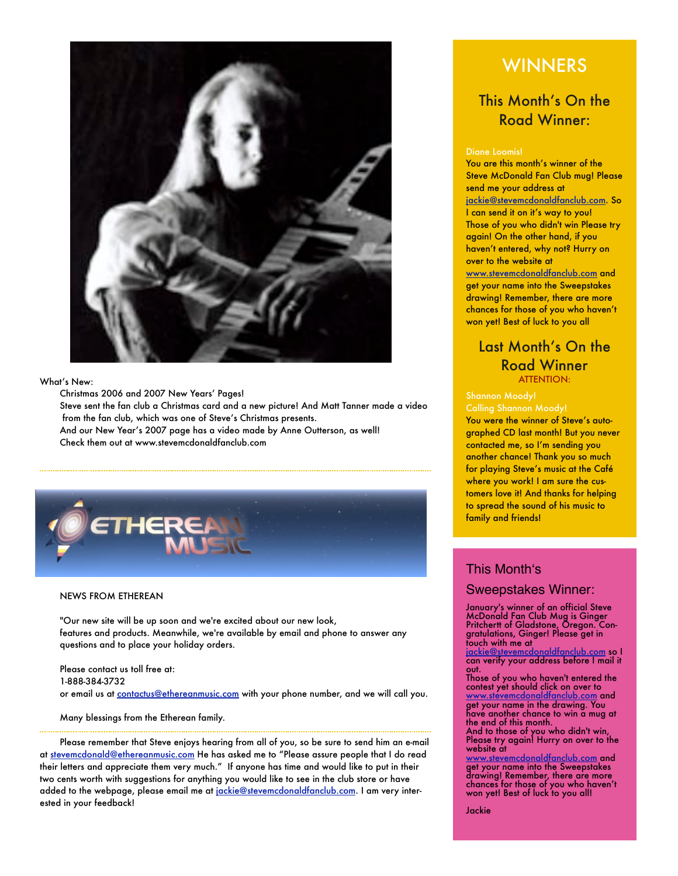

#### What's New:

Christmas 2006 and 2007 New Years' Pages!

Steve sent the fan club a Christmas card and a new picture! And Matt Tanner made a video from the fan club, which was one of Steve's Christmas presents. And our New Year's 2007 page has a video made by Anne Outterson, as well!

Check them out at www.stevemcdonaldfanclub.com



#### NEWS FROM ETHEREAN

"Our new site will be up soon and we're excited about our new look, features and products. Meanwhile, we're available by email and phone to answer any questions and to place your holiday orders.

Please contact us toll free at: 1-888-384-3732 or email us at [contactus@ethereanmusic.com](mailto:contactus@ethereanmusic.com) with your phone number, and we will call you.

#### Many blessings from the Etherean family.

Please remember that Steve enjoys hearing from all of you, so be sure to send him an e-mail at [stevemcdonald@ethereanmusic.com](mailto:stevemcdonald@ethereanmusic.com) He has asked me to "Please assure people that I do read their letters and appreciate them very much." If anyone has time and would like to put in their two cents worth with suggestions for anything you would like to see in the club store or have added to the webpage, please email me at [jackie@stevemcdonaldfanclub.com](mailto:jackie@stevemcdonaldfanclub.com). I am very interested in your feedback!

# **WINNERS**

## This Month's On the Road Winner:

#### Diane Loomis!

You are this month's winner of the Steve McDonald Fan Club mug! Please send me your address at [jackie@stevemcdonaldfanclub.com.](mailto:jackie@stevemcdonaldfanclub.com) So I can send it on it's way to you! Those of you who didn't win Please try again! On the other hand, if you haven't entered, why not? Hurry on over to the website at [www.stevemcdonaldfanclub.com](http://www.stevemcdonaldfanclub.com) and get your name into the Sweepstakes drawing! Remember, there are more chances for those of you who haven't won yet! Best of luck to you all

### Last Month's On the Road Winner ATTENTION:

Calling Shannon Moody!

You were the winner of Steve's autographed CD last month! But you never contacted me, so I'm sending you another chance! Thank you so much for playing Steve's music at the Café where you work! I am sure the customers love it! And thanks for helping to spread the sound of his music to family and friends!

### This Month's

### Sweepstakes Winner:

January's winner of an official Steve McDonald Fan Club Mug is Ginger Pritchertt of Gladstone, Oregon. Congratulations, Ginger! Please get in touch with me at

[jackie@stevemcdonaldfanclub.com](mailto:jackie@stevemcdonaldfanclub.com) so I can verify your address before I mail it out.

Those of you who haven't entered the contest yet should click on over to [www.stevemcdonaldfanclub.com](http://www.stevemcdonaldfanclub.com) and get your name in the drawing. You have another chance to win a mug at the end of this month.

And to those of you who didn't win, Please try again! Hurry on over to the website at

<u>evemcdonaldfanclub.com</u> and get your name into the Sweepstakes drawing! Remember, there are more chances for those of you who haven't won yet! Best of luck to you all!

Jackie